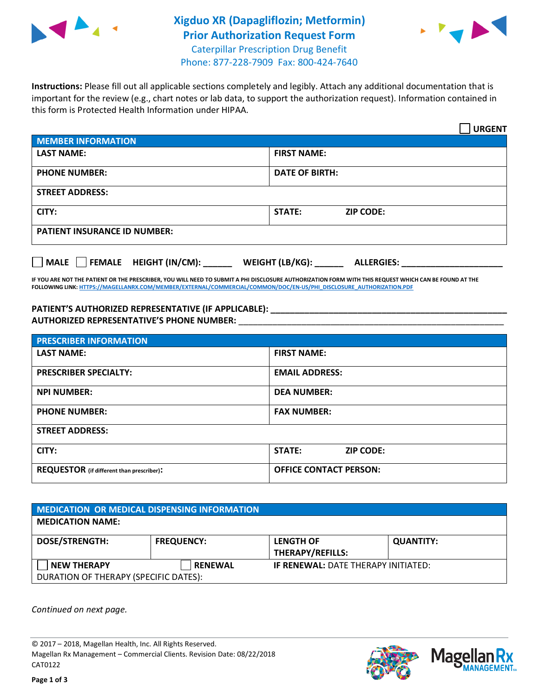

## **Xigduo XR (Dapagliflozin; Metformin) Prior Authorization Request Form** Caterpillar Prescription Drug Benefit Phone: 877-228-7909 Fax: 800-424-7640



**Instructions:** Please fill out all applicable sections completely and legibly. Attach any additional documentation that is important for the review (e.g., chart notes or lab data, to support the authorization request). Information contained in this form is Protected Health Information under HIPAA.

|                                            | <b>URGENT</b>                        |  |
|--------------------------------------------|--------------------------------------|--|
| <b>MEMBER INFORMATION</b>                  |                                      |  |
| <b>LAST NAME:</b>                          | <b>FIRST NAME:</b>                   |  |
| <b>PHONE NUMBER:</b>                       | <b>DATE OF BIRTH:</b>                |  |
| <b>STREET ADDRESS:</b>                     |                                      |  |
| CITY:                                      | STATE:<br><b>ZIP CODE:</b>           |  |
| <b>PATIENT INSURANCE ID NUMBER:</b>        |                                      |  |
| FEMALE HEIGHT (IN/CM):<br>$ $ MALE $ $ $ $ | WEIGHT (LB/KG):<br><b>ALLERGIES:</b> |  |

**IF YOU ARE NOT THE PATIENT OR THE PRESCRIBER, YOU WILL NEED TO SUBMIT A PHI DISCLOSURE AUTHORIZATION FORM WITH THIS REQUEST WHICH CAN BE FOUND AT THE FOLLOWING LINK[: HTTPS://MAGELLANRX.COM/MEMBER/EXTERNAL/COMMERCIAL/COMMON/DOC/EN-US/PHI\\_DISCLOSURE\\_AUTHORIZATION.PDF](https://magellanrx.com/member/external/commercial/common/doc/en-us/PHI_Disclosure_Authorization.pdf)**

PATIENT'S AUTHORIZED REPRESENTATIVE (IF APPLICABLE): **AUTHORIZED REPRESENTATIVE'S PHONE NUMBER:** \_\_\_\_\_\_\_\_\_\_\_\_\_\_\_\_\_\_\_\_\_\_\_\_\_\_\_\_\_\_\_\_\_\_\_\_\_\_\_\_\_\_\_\_\_\_\_\_\_\_\_\_\_\_\_

| <b>PRESCRIBER INFORMATION</b>             |                               |  |  |  |
|-------------------------------------------|-------------------------------|--|--|--|
| <b>LAST NAME:</b>                         | <b>FIRST NAME:</b>            |  |  |  |
| <b>PRESCRIBER SPECIALTY:</b>              | <b>EMAIL ADDRESS:</b>         |  |  |  |
| <b>NPI NUMBER:</b>                        | <b>DEA NUMBER:</b>            |  |  |  |
| <b>PHONE NUMBER:</b>                      | <b>FAX NUMBER:</b>            |  |  |  |
| <b>STREET ADDRESS:</b>                    |                               |  |  |  |
| CITY:                                     | STATE:<br><b>ZIP CODE:</b>    |  |  |  |
| REQUESTOR (if different than prescriber): | <b>OFFICE CONTACT PERSON:</b> |  |  |  |

| <b>MEDICATION OR MEDICAL DISPENSING INFORMATION</b> |                   |                                            |                  |  |  |
|-----------------------------------------------------|-------------------|--------------------------------------------|------------------|--|--|
| <b>MEDICATION NAME:</b>                             |                   |                                            |                  |  |  |
| <b>DOSE/STRENGTH:</b>                               | <b>FREQUENCY:</b> | <b>LENGTH OF</b>                           | <b>QUANTITY:</b> |  |  |
|                                                     |                   | <b>THERAPY/REFILLS:</b>                    |                  |  |  |
| <b>NEW THERAPY</b>                                  | <b>RENEWAL</b>    | <b>IF RENEWAL: DATE THERAPY INITIATED:</b> |                  |  |  |
| DURATION OF THERAPY (SPECIFIC DATES):               |                   |                                            |                  |  |  |

*Continued on next page.*

© 2017 – 2018, Magellan Health, Inc. All Rights Reserved. Magellan Rx Management – Commercial Clients. Revision Date: 08/22/2018 CAT0122



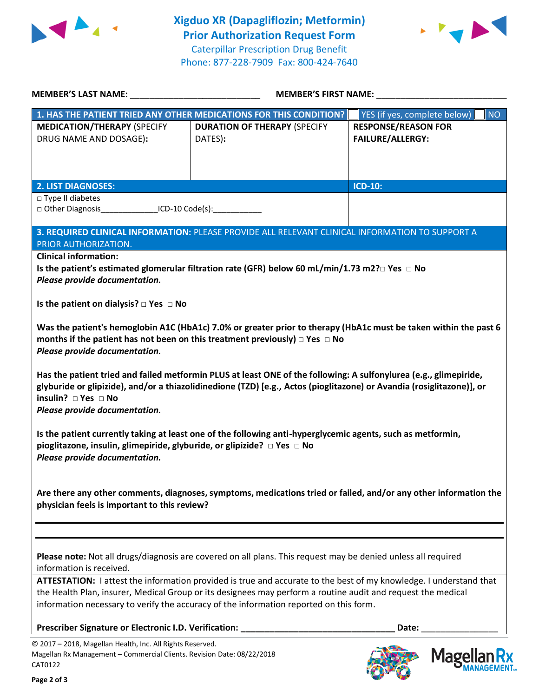



| <b>MEMBER'S LAST NAME:</b> NAME:                                                                                                                                                                                                                                                                                                                                                                                                                                                                                                                                                                                                                                                                                                                                                                                                                                                                          | MEMBER'S FIRST NAME:                                                                                                                                                                                                                                                                                                         |                                           |  |  |
|-----------------------------------------------------------------------------------------------------------------------------------------------------------------------------------------------------------------------------------------------------------------------------------------------------------------------------------------------------------------------------------------------------------------------------------------------------------------------------------------------------------------------------------------------------------------------------------------------------------------------------------------------------------------------------------------------------------------------------------------------------------------------------------------------------------------------------------------------------------------------------------------------------------|------------------------------------------------------------------------------------------------------------------------------------------------------------------------------------------------------------------------------------------------------------------------------------------------------------------------------|-------------------------------------------|--|--|
|                                                                                                                                                                                                                                                                                                                                                                                                                                                                                                                                                                                                                                                                                                                                                                                                                                                                                                           | 1. HAS THE PATIENT TRIED ANY OTHER MEDICATIONS FOR THIS CONDITION?                                                                                                                                                                                                                                                           | YES (if yes, complete below)<br><b>NO</b> |  |  |
| <b>MEDICATION/THERAPY (SPECIFY</b>                                                                                                                                                                                                                                                                                                                                                                                                                                                                                                                                                                                                                                                                                                                                                                                                                                                                        | <b>DURATION OF THERAPY (SPECIFY</b>                                                                                                                                                                                                                                                                                          | <b>RESPONSE/REASON FOR</b>                |  |  |
| DRUG NAME AND DOSAGE):                                                                                                                                                                                                                                                                                                                                                                                                                                                                                                                                                                                                                                                                                                                                                                                                                                                                                    | DATES):                                                                                                                                                                                                                                                                                                                      | <b>FAILURE/ALLERGY:</b>                   |  |  |
|                                                                                                                                                                                                                                                                                                                                                                                                                                                                                                                                                                                                                                                                                                                                                                                                                                                                                                           |                                                                                                                                                                                                                                                                                                                              |                                           |  |  |
|                                                                                                                                                                                                                                                                                                                                                                                                                                                                                                                                                                                                                                                                                                                                                                                                                                                                                                           |                                                                                                                                                                                                                                                                                                                              |                                           |  |  |
|                                                                                                                                                                                                                                                                                                                                                                                                                                                                                                                                                                                                                                                                                                                                                                                                                                                                                                           |                                                                                                                                                                                                                                                                                                                              |                                           |  |  |
| <b>2. LIST DIAGNOSES:</b>                                                                                                                                                                                                                                                                                                                                                                                                                                                                                                                                                                                                                                                                                                                                                                                                                                                                                 |                                                                                                                                                                                                                                                                                                                              | ICD-10:                                   |  |  |
| $\Box$ Type II diabetes<br>□ Other Diagnosis__________________ICD-10 Code(s):______________                                                                                                                                                                                                                                                                                                                                                                                                                                                                                                                                                                                                                                                                                                                                                                                                               |                                                                                                                                                                                                                                                                                                                              |                                           |  |  |
|                                                                                                                                                                                                                                                                                                                                                                                                                                                                                                                                                                                                                                                                                                                                                                                                                                                                                                           |                                                                                                                                                                                                                                                                                                                              |                                           |  |  |
|                                                                                                                                                                                                                                                                                                                                                                                                                                                                                                                                                                                                                                                                                                                                                                                                                                                                                                           | 3. REQUIRED CLINICAL INFORMATION: PLEASE PROVIDE ALL RELEVANT CLINICAL INFORMATION TO SUPPORT A                                                                                                                                                                                                                              |                                           |  |  |
| PRIOR AUTHORIZATION.                                                                                                                                                                                                                                                                                                                                                                                                                                                                                                                                                                                                                                                                                                                                                                                                                                                                                      |                                                                                                                                                                                                                                                                                                                              |                                           |  |  |
| <b>Clinical information:</b>                                                                                                                                                                                                                                                                                                                                                                                                                                                                                                                                                                                                                                                                                                                                                                                                                                                                              |                                                                                                                                                                                                                                                                                                                              |                                           |  |  |
|                                                                                                                                                                                                                                                                                                                                                                                                                                                                                                                                                                                                                                                                                                                                                                                                                                                                                                           | Is the patient's estimated glomerular filtration rate (GFR) below 60 mL/min/1.73 m2? $\Box$ Yes $\Box$ No                                                                                                                                                                                                                    |                                           |  |  |
| Please provide documentation.                                                                                                                                                                                                                                                                                                                                                                                                                                                                                                                                                                                                                                                                                                                                                                                                                                                                             |                                                                                                                                                                                                                                                                                                                              |                                           |  |  |
|                                                                                                                                                                                                                                                                                                                                                                                                                                                                                                                                                                                                                                                                                                                                                                                                                                                                                                           |                                                                                                                                                                                                                                                                                                                              |                                           |  |  |
| Is the patient on dialysis? $\Box$ Yes $\Box$ No                                                                                                                                                                                                                                                                                                                                                                                                                                                                                                                                                                                                                                                                                                                                                                                                                                                          |                                                                                                                                                                                                                                                                                                                              |                                           |  |  |
| Was the patient's hemoglobin A1C (HbA1c) 7.0% or greater prior to therapy (HbA1c must be taken within the past 6<br>months if the patient has not been on this treatment previously) $\Box$ Yes $\Box$ No<br>Please provide documentation.<br>Has the patient tried and failed metformin PLUS at least ONE of the following: A sulfonylurea (e.g., glimepiride,<br>glyburide or glipizide), and/or a thiazolidinedione (TZD) [e.g., Actos (pioglitazone) or Avandia (rosiglitazone)], or<br>insulin? $\Box$ Yes $\Box$ No<br>Please provide documentation.<br>Is the patient currently taking at least one of the following anti-hyperglycemic agents, such as metformin,<br>pioglitazone, insulin, glimepiride, glyburide, or glipizide? □ Yes □ No<br>Please provide documentation.<br>Are there any other comments, diagnoses, symptoms, medications tried or failed, and/or any other information the |                                                                                                                                                                                                                                                                                                                              |                                           |  |  |
| physician feels is important to this review?                                                                                                                                                                                                                                                                                                                                                                                                                                                                                                                                                                                                                                                                                                                                                                                                                                                              |                                                                                                                                                                                                                                                                                                                              |                                           |  |  |
| information is received.                                                                                                                                                                                                                                                                                                                                                                                                                                                                                                                                                                                                                                                                                                                                                                                                                                                                                  | Please note: Not all drugs/diagnosis are covered on all plans. This request may be denied unless all required                                                                                                                                                                                                                |                                           |  |  |
|                                                                                                                                                                                                                                                                                                                                                                                                                                                                                                                                                                                                                                                                                                                                                                                                                                                                                                           | ATTESTATION: I attest the information provided is true and accurate to the best of my knowledge. I understand that<br>the Health Plan, insurer, Medical Group or its designees may perform a routine audit and request the medical<br>information necessary to verify the accuracy of the information reported on this form. |                                           |  |  |
| Prescriber Signature or Electronic I.D. Verification:                                                                                                                                                                                                                                                                                                                                                                                                                                                                                                                                                                                                                                                                                                                                                                                                                                                     |                                                                                                                                                                                                                                                                                                                              | Date:                                     |  |  |
| © 2017 - 2018, Magellan Health, Inc. All Rights Reserved.<br>Magellan Rx Management - Commercial Clients. Revision Date: 08/22/2018<br>CAT0122                                                                                                                                                                                                                                                                                                                                                                                                                                                                                                                                                                                                                                                                                                                                                            |                                                                                                                                                                                                                                                                                                                              | <b>Mage</b>                               |  |  |